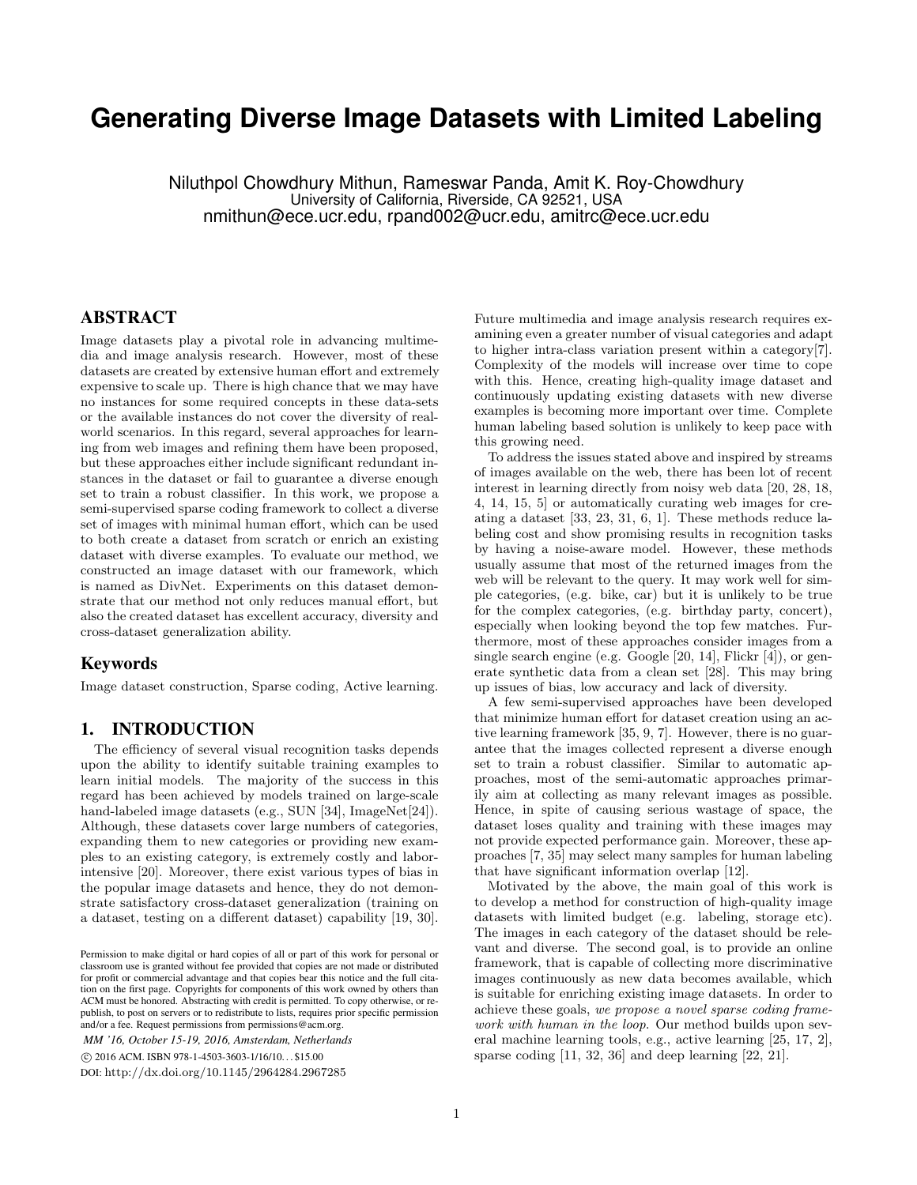# **Generating Diverse Image Datasets with Limited Labeling**

Niluthpol Chowdhury Mithun, Rameswar Panda, Amit K. Roy-Chowdhury University of California, Riverside, CA 92521, USA nmithun@ece.ucr.edu, rpand002@ucr.edu, amitrc@ece.ucr.edu

#### ABSTRACT

Image datasets play a pivotal role in advancing multimedia and image analysis research. However, most of these datasets are created by extensive human effort and extremely expensive to scale up. There is high chance that we may have no instances for some required concepts in these data-sets or the available instances do not cover the diversity of realworld scenarios. In this regard, several approaches for learning from web images and refining them have been proposed, but these approaches either include significant redundant instances in the dataset or fail to guarantee a diverse enough set to train a robust classifier. In this work, we propose a semi-supervised sparse coding framework to collect a diverse set of images with minimal human effort, which can be used to both create a dataset from scratch or enrich an existing dataset with diverse examples. To evaluate our method, we constructed an image dataset with our framework, which is named as DivNet. Experiments on this dataset demonstrate that our method not only reduces manual effort, but also the created dataset has excellent accuracy, diversity and cross-dataset generalization ability.

#### Keywords

Image dataset construction, Sparse coding, Active learning.

#### 1. INTRODUCTION

The efficiency of several visual recognition tasks depends upon the ability to identify suitable training examples to learn initial models. The majority of the success in this regard has been achieved by models trained on large-scale hand-labeled image datasets (e.g., SUN [\[34\]](#page-4-0), ImageNet[\[24\]](#page-4-1)). Although, these datasets cover large numbers of categories, expanding them to new categories or providing new examples to an existing category, is extremely costly and laborintensive [\[20\]](#page-4-2). Moreover, there exist various types of bias in the popular image datasets and hence, they do not demonstrate satisfactory cross-dataset generalization (training on a dataset, testing on a different dataset) capability [\[19,](#page-4-3) [30\]](#page-4-4).

*MM '16, October 15-19, 2016, Amsterdam, Netherlands* c 2016 ACM. ISBN 978-1-4503-3603-1/16/10. . . \$15.00 DOI: <http://dx.doi.org/10.1145/2964284.2967285>

Future multimedia and image analysis research requires examining even a greater number of visual categories and adapt to higher intra-class variation present within a category[\[7\]](#page-4-5). Complexity of the models will increase over time to cope with this. Hence, creating high-quality image dataset and continuously updating existing datasets with new diverse examples is becoming more important over time. Complete human labeling based solution is unlikely to keep pace with this growing need.

To address the issues stated above and inspired by streams of images available on the web, there has been lot of recent interest in learning directly from noisy web data [\[20,](#page-4-2) [28,](#page-4-6) [18,](#page-4-7) [4,](#page-4-8) [14,](#page-4-9) [15,](#page-4-10) [5\]](#page-4-11) or automatically curating web images for creating a dataset [\[33,](#page-4-12) [23,](#page-4-13) [31,](#page-4-14) [6,](#page-4-15) [1\]](#page-4-16). These methods reduce labeling cost and show promising results in recognition tasks by having a noise-aware model. However, these methods usually assume that most of the returned images from the web will be relevant to the query. It may work well for simple categories, (e.g. bike, car) but it is unlikely to be true for the complex categories, (e.g. birthday party, concert), especially when looking beyond the top few matches. Furthermore, most of these approaches consider images from a single search engine (e.g. Google [\[20,](#page-4-2) [14\]](#page-4-9), Flickr [\[4\]](#page-4-8)), or generate synthetic data from a clean set [\[28\]](#page-4-6). This may bring up issues of bias, low accuracy and lack of diversity.

A few semi-supervised approaches have been developed that minimize human effort for dataset creation using an active learning framework [\[35,](#page-4-17) [9,](#page-4-18) [7\]](#page-4-5). However, there is no guarantee that the images collected represent a diverse enough set to train a robust classifier. Similar to automatic approaches, most of the semi-automatic approaches primarily aim at collecting as many relevant images as possible. Hence, in spite of causing serious wastage of space, the dataset loses quality and training with these images may not provide expected performance gain. Moreover, these approaches [\[7,](#page-4-5) [35\]](#page-4-17) may select many samples for human labeling that have significant information overlap [\[12\]](#page-4-19).

Motivated by the above, the main goal of this work is to develop a method for construction of high-quality image datasets with limited budget (e.g. labeling, storage etc). The images in each category of the dataset should be relevant and diverse. The second goal, is to provide an online framework, that is capable of collecting more discriminative images continuously as new data becomes available, which is suitable for enriching existing image datasets. In order to achieve these goals, we propose a novel sparse coding framework with human in the loop. Our method builds upon several machine learning tools, e.g., active learning [\[25,](#page-4-20) [17,](#page-4-21) [2\]](#page-4-22), sparse coding [\[11,](#page-4-23) [32,](#page-4-24) [36\]](#page-4-25) and deep learning [\[22,](#page-4-26) [21\]](#page-4-27).

Permission to make digital or hard copies of all or part of this work for personal or classroom use is granted without fee provided that copies are not made or distributed for profit or commercial advantage and that copies bear this notice and the full citation on the first page. Copyrights for components of this work owned by others than ACM must be honored. Abstracting with credit is permitted. To copy otherwise, or republish, to post on servers or to redistribute to lists, requires prior specific permission and/or a fee. Request permissions from permissions@acm.org.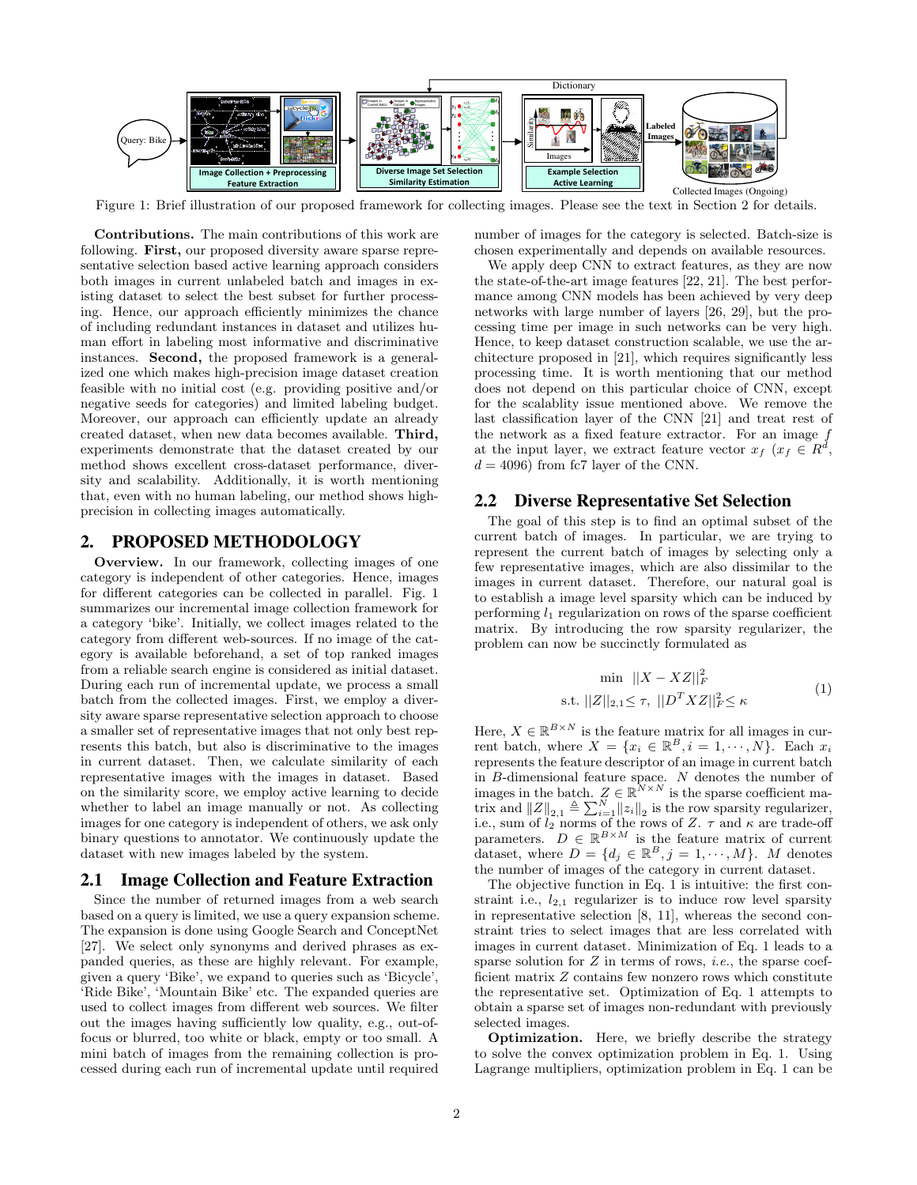<span id="page-1-1"></span>

Figure 1: Brief illustration of our proposed framework for collecting images. Please see the text in Section [2](#page-1-0) for details.

Contributions. The main contributions of this work are following. First, our proposed diversity aware sparse representative selection based active learning approach considers both images in current unlabeled batch and images in existing dataset to select the best subset for further processing. Hence, our approach efficiently minimizes the chance of including redundant instances in dataset and utilizes human effort in labeling most informative and discriminative instances. Second, the proposed framework is a generalized one which makes high-precision image dataset creation feasible with no initial cost (e.g. providing positive and/or negative seeds for categories) and limited labeling budget. Moreover, our approach can efficiently update an already created dataset, when new data becomes available. Third, experiments demonstrate that the dataset created by our method shows excellent cross-dataset performance, diversity and scalability. Additionally, it is worth mentioning that, even with no human labeling, our method shows highprecision in collecting images automatically.

# <span id="page-1-0"></span>2. PROPOSED METHODOLOGY

Overview. In our framework, collecting images of one category is independent of other categories. Hence, images for different categories can be collected in parallel. Fig. [1](#page-1-1) summarizes our incremental image collection framework for a category 'bike'. Initially, we collect images related to the category from different web-sources. If no image of the category is available beforehand, a set of top ranked images from a reliable search engine is considered as initial dataset. During each run of incremental update, we process a small batch from the collected images. First, we employ a diversity aware sparse representative selection approach to choose a smaller set of representative images that not only best represents this batch, but also is discriminative to the images in current dataset. Then, we calculate similarity of each representative images with the images in dataset. Based on the similarity score, we employ active learning to decide whether to label an image manually or not. As collecting images for one category is independent of others, we ask only binary questions to annotator. We continuously update the dataset with new images labeled by the system.

## 2.1 Image Collection and Feature Extraction

Since the number of returned images from a web search based on a query is limited, we use a query expansion scheme. The expansion is done using Google Search and ConceptNet [\[27\]](#page-4-28). We select only synonyms and derived phrases as expanded queries, as these are highly relevant. For example, given a query 'Bike', we expand to queries such as 'Bicycle', 'Ride Bike', 'Mountain Bike' etc. The expanded queries are used to collect images from different web sources. We filter out the images having sufficiently low quality, e.g., out-offocus or blurred, too white or black, empty or too small. A mini batch of images from the remaining collection is processed during each run of incremental update until required number of images for the category is selected. Batch-size is chosen experimentally and depends on available resources.

We apply deep CNN to extract features, as they are now the state-of-the-art image features [\[22,](#page-4-26) [21\]](#page-4-27). The best performance among CNN models has been achieved by very deep networks with large number of layers [\[26,](#page-4-29) [29\]](#page-4-30), but the processing time per image in such networks can be very high. Hence, to keep dataset construction scalable, we use the architecture proposed in [\[21\]](#page-4-27), which requires significantly less processing time. It is worth mentioning that our method does not depend on this particular choice of CNN, except for the scalablity issue mentioned above. We remove the last classification layer of the CNN [\[21\]](#page-4-27) and treat rest of the network as a fixed feature extractor. For an image f at the input layer, we extract feature vector  $x_f$   $(x_f \in \mathbb{R}^d)$ ,  $d = 4096$ ) from fc7 layer of the CNN.

#### 2.2 Diverse Representative Set Selection

The goal of this step is to find an optimal subset of the current batch of images. In particular, we are trying to represent the current batch of images by selecting only a few representative images, which are also dissimilar to the images in current dataset. Therefore, our natural goal is to establish a image level sparsity which can be induced by performing  $l_1$  regularization on rows of the sparse coefficient matrix. By introducing the row sparsity regularizer, the problem can now be succinctly formulated as

<span id="page-1-2"></span>
$$
\min ||X - XZ||_F^2
$$
  
s.t.  $||Z||_{2,1} \le \tau$ ,  $||D^T XZ||_F^2 \le \kappa$  (1)

Here,  $X \in \mathbb{R}^{B \times N}$  is the feature matrix for all images in current batch, where  $X = \{x_i \in \mathbb{R}^B, i = 1, \cdots, N\}$ . Each  $x_i$ represents the feature descriptor of an image in current batch in B-dimensional feature space. N denotes the number of images in the batch.  $Z \in \mathbb{R}^N \times N$  is the sparse coefficient matrix and  $||Z||_{2,1} \triangleq \sum_{i=1}^{N} ||z_i||_2$  is the row sparsity regularizer, i.e., sum of  $l_2$  norms of the rows of Z.  $\tau$  and  $\kappa$  are trade-off parameters.  $D \in \mathbb{R}^{B \times M}$  is the feature matrix of current dataset, where  $D = \{d_j \in \mathbb{R}^B, j = 1, \cdots, M\}$ . M denotes the number of images of the category in current dataset.

The objective function in Eq. [1](#page-1-2) is intuitive: the first constraint i.e.,  $l_{2,1}$  regularizer is to induce row level sparsity in representative selection [\[8,](#page-4-31) [11\]](#page-4-23), whereas the second constraint tries to select images that are less correlated with images in current dataset. Minimization of Eq. [1](#page-1-2) leads to a sparse solution for  $Z$  in terms of rows, *i.e.*, the sparse coefficient matrix Z contains few nonzero rows which constitute the representative set. Optimization of Eq. [1](#page-1-2) attempts to obtain a sparse set of images non-redundant with previously selected images.

Optimization. Here, we briefly describe the strategy to solve the convex optimization problem in Eq. [1.](#page-1-2) Using Lagrange multipliers, optimization problem in Eq. [1](#page-1-2) can be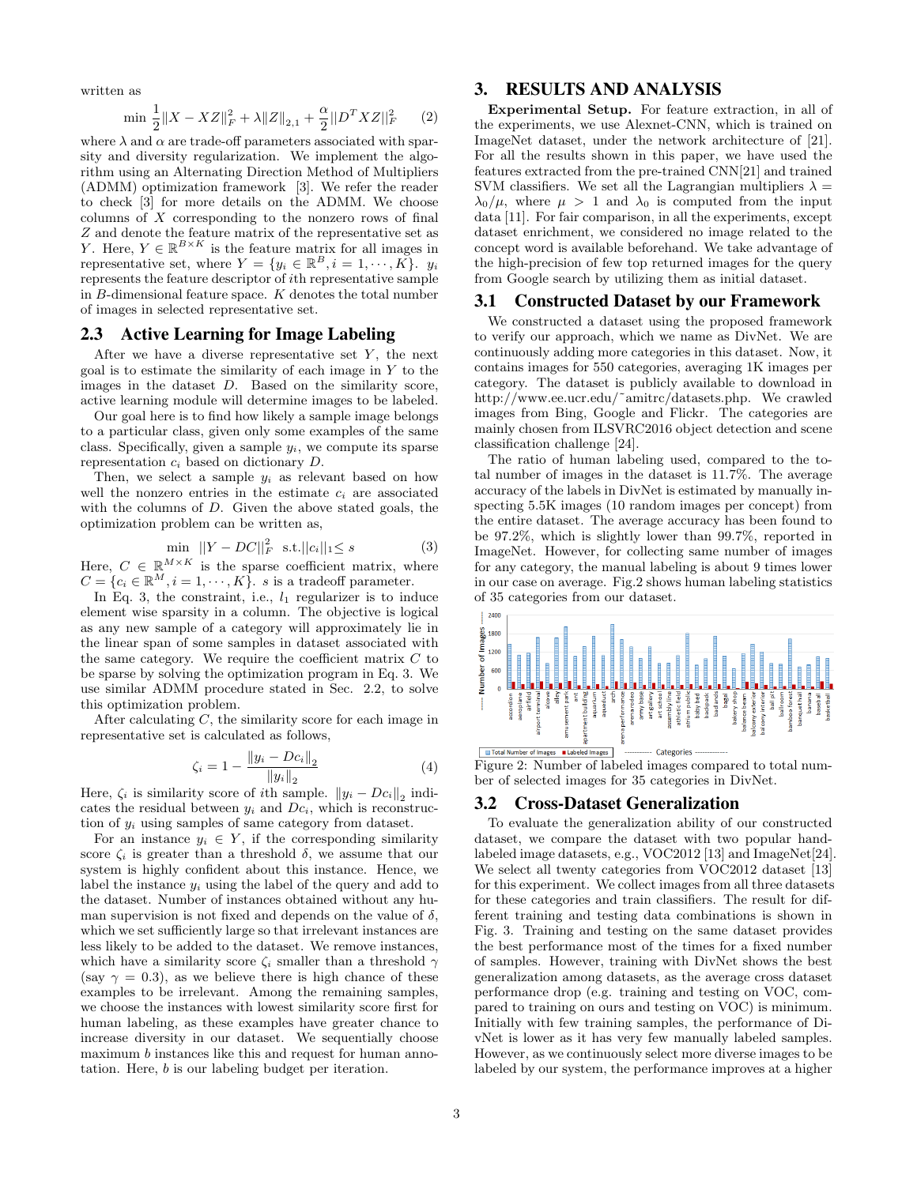written as

$$
\min \frac{1}{2} \|X - XZ\|_F^2 + \lambda \|Z\|_{2,1} + \frac{\alpha}{2} \|D^T XZ\|_F^2 \qquad (2)
$$

where  $\lambda$  and  $\alpha$  are trade-off parameters associated with sparsity and diversity regularization. We implement the algorithm using an Alternating Direction Method of Multipliers (ADMM) optimization framework [\[3\]](#page-4-32). We refer the reader to check [\[3\]](#page-4-32) for more details on the ADMM. We choose columns of  $X$  corresponding to the nonzero rows of final Z and denote the feature matrix of the representative set as Y. Here,  $Y \in \mathbb{R}^{B \times K}$  is the feature matrix for all images in representative set, where  $Y = \{y_i \in \mathbb{R}^B, i = 1, \cdots, K\}$ .  $y_i$ represents the feature descriptor of ith representative sample in  $B$ -dimensional feature space.  $K$  denotes the total number of images in selected representative set.

#### 2.3 Active Learning for Image Labeling

After we have a diverse representative set  $Y$ , the next goal is to estimate the similarity of each image in  $Y$  to the images in the dataset D. Based on the similarity score, active learning module will determine images to be labeled.

Our goal here is to find how likely a sample image belongs to a particular class, given only some examples of the same class. Specifically, given a sample  $y_i$ , we compute its sparse representation  $c_i$  based on dictionary  $D$ .

Then, we select a sample  $y_i$  as relevant based on how well the nonzero entries in the estimate  $c_i$  are associated with the columns of D. Given the above stated goals, the optimization problem can be written as,

<span id="page-2-0"></span>
$$
\min ||Y - DC||_F^2 \text{ s.t.} ||c_i||_1 \le s \tag{3}
$$

Here,  $C \in \mathbb{R}^{M \times K}$  is the sparse coefficient matrix, where  $C = \{c_i \in \mathbb{R}^M, i = 1, \cdots, K\}.$  s is a tradeoff parameter.

In Eq. [3,](#page-2-0) the constraint, i.e.,  $l_1$  regularizer is to induce element wise sparsity in a column. The objective is logical as any new sample of a category will approximately lie in the linear span of some samples in dataset associated with the same category. We require the coefficient matrix  $C$  to be sparse by solving the optimization program in Eq. [3.](#page-2-0) We use similar ADMM procedure stated in Sec. 2.2, to solve this optimization problem.

After calculating C, the similarity score for each image in representative set is calculated as follows,

$$
\zeta_i = 1 - \frac{\|y_i - Dc_i\|_2}{\|y_i\|_2} \tag{4}
$$

Here,  $\zeta_i$  is similarity score of *i*th sample.  $||y_i - Dc_i||_2$  indicates the residual between  $y_i$  and  $Dc_i$ , which is reconstruction of  $y_i$  using samples of same category from dataset.

For an instance  $y_i \in Y$ , if the corresponding similarity score  $\zeta_i$  is greater than a threshold  $\delta$ , we assume that our system is highly confident about this instance. Hence, we label the instance  $y_i$  using the label of the query and add to the dataset. Number of instances obtained without any human supervision is not fixed and depends on the value of  $\delta$ , which we set sufficiently large so that irrelevant instances are less likely to be added to the dataset. We remove instances, which have a similarity score  $\zeta_i$  smaller than a threshold  $\gamma$ (say  $\gamma = 0.3$ ), as we believe there is high chance of these examples to be irrelevant. Among the remaining samples, we choose the instances with lowest similarity score first for human labeling, as these examples have greater chance to increase diversity in our dataset. We sequentially choose maximum b instances like this and request for human annotation. Here, b is our labeling budget per iteration.

## 3. RESULTS AND ANALYSIS

Experimental Setup. For feature extraction, in all of the experiments, we use Alexnet-CNN, which is trained on ImageNet dataset, under the network architecture of [\[21\]](#page-4-27). For all the results shown in this paper, we have used the features extracted from the pre-trained CNN[\[21\]](#page-4-27) and trained SVM classifiers. We set all the Lagrangian multipliers  $\lambda =$  $\lambda_0/\mu$ , where  $\mu > 1$  and  $\lambda_0$  is computed from the input data [\[11\]](#page-4-23). For fair comparison, in all the experiments, except dataset enrichment, we considered no image related to the concept word is available beforehand. We take advantage of the high-precision of few top returned images for the query from Google search by utilizing them as initial dataset.

#### 3.1 Constructed Dataset by our Framework

We constructed a dataset using the proposed framework to verify our approach, which we name as DivNet. We are continuously adding more categories in this dataset. Now, it contains images for 550 categories, averaging 1K images per category. The dataset is publicly available to download in [http://www.ee.ucr.edu/˜amitrc/datasets.php.](http://www.ee.ucr.edu/~amitrc/datasets.php) We crawled images from Bing, Google and Flickr. The categories are mainly chosen from ILSVRC2016 object detection and scene classification challenge [\[24\]](#page-4-1).

The ratio of human labeling used, compared to the total number of images in the dataset is 11.7%. The average accuracy of the labels in DivNet is estimated by manually inspecting 5.5K images (10 random images per concept) from the entire dataset. The average accuracy has been found to be 97.2%, which is slightly lower than 99.7%, reported in ImageNet. However, for collecting same number of images for any category, the manual labeling is about 9 times lower in our case on average. Fig[.2](#page-2-1) shows human labeling statistics of 35 categories from our dataset.

<span id="page-2-1"></span>

Figure 2: Number of labeled images compared to total number of selected images for 35 categories in DivNet.

#### 3.2 Cross-Dataset Generalization

To evaluate the generalization ability of our constructed dataset, we compare the dataset with two popular handlabeled image datasets, e.g., VOC2012 [\[13\]](#page-4-33) and ImageNet[\[24\]](#page-4-1). We select all twenty categories from VOC2012 dataset [\[13\]](#page-4-33) for this experiment. We collect images from all three datasets for these categories and train classifiers. The result for different training and testing data combinations is shown in Fig. [3.](#page-3-0) Training and testing on the same dataset provides the best performance most of the times for a fixed number of samples. However, training with DivNet shows the best generalization among datasets, as the average cross dataset performance drop (e.g. training and testing on VOC, compared to training on ours and testing on VOC) is minimum. Initially with few training samples, the performance of DivNet is lower as it has very few manually labeled samples. However, as we continuously select more diverse images to be labeled by our system, the performance improves at a higher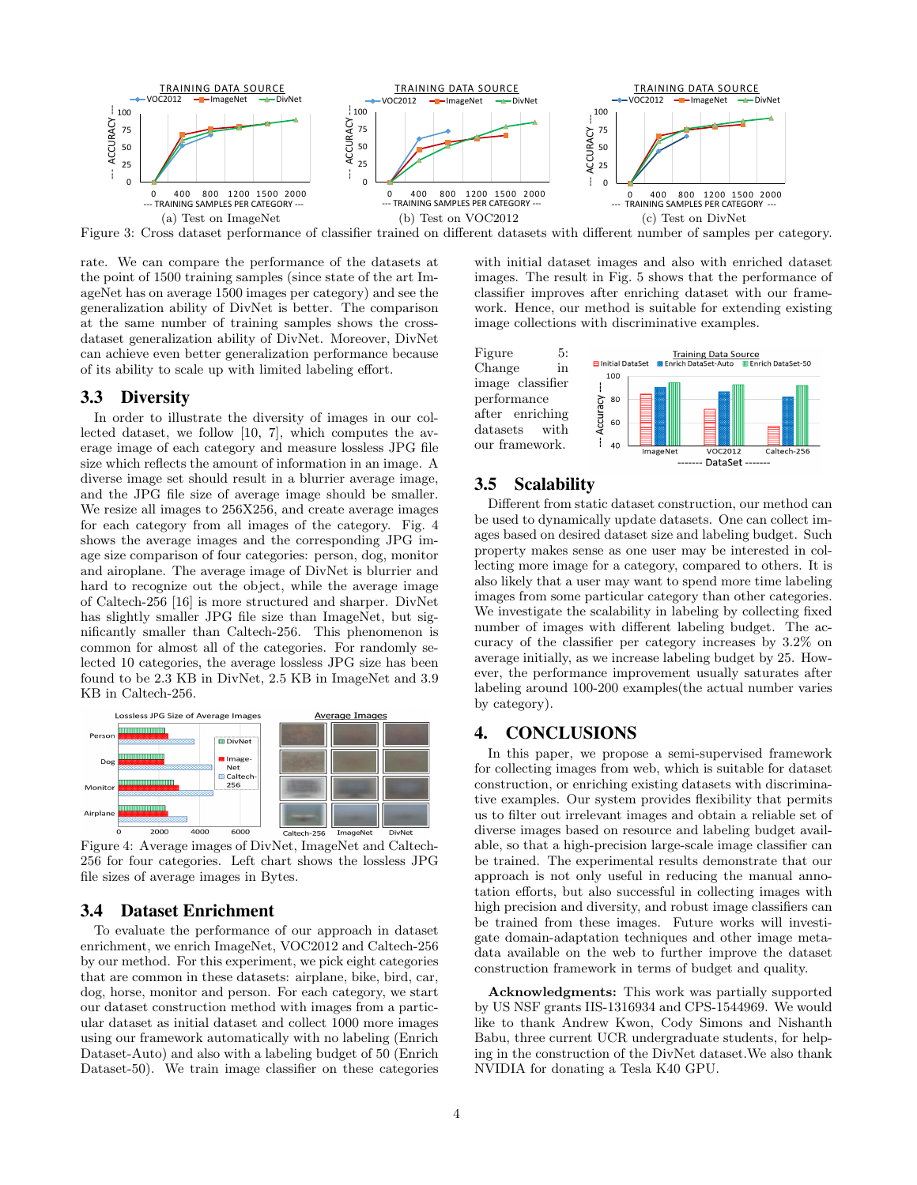<span id="page-3-0"></span>

Figure 3: Cross dataset performance of classifier trained on different datasets with different number of samples per category.

rate. We can compare the performance of the datasets at the point of 1500 training samples (since state of the art ImageNet has on average 1500 images per category) and see the generalization ability of DivNet is better. The comparison at the same number of training samples shows the crossdataset generalization ability of DivNet. Moreover, DivNet can achieve even better generalization performance because of its ability to scale up with limited labeling effort.

# 3.3 Diversity

In order to illustrate the diversity of images in our collected dataset, we follow [\[10,](#page-4-34) [7\]](#page-4-5), which computes the average image of each category and measure lossless JPG file size which reflects the amount of information in an image. A diverse image set should result in a blurrier average image, and the JPG file size of average image should be smaller. We resize all images to 256X256, and create average images for each category from all images of the category. Fig. [4](#page-3-1) shows the average images and the corresponding JPG image size comparison of four categories: person, dog, monitor and airoplane. The average image of DivNet is blurrier and hard to recognize out the object, while the average image of Caltech-256 [\[16\]](#page-4-35) is more structured and sharper. DivNet has slightly smaller JPG file size than ImageNet, but significantly smaller than Caltech-256. This phenomenon is common for almost all of the categories. For randomly selected 10 categories, the average lossless JPG size has been found to be 2.3 KB in DivNet, 2.5 KB in ImageNet and 3.9 KB in Caltech-256.

<span id="page-3-1"></span>

Figure 4: Average images of DivNet, ImageNet and Caltech-256 for four categories. Left chart shows the lossless JPG file sizes of average images in Bytes.

#### 3.4 Dataset Enrichment

To evaluate the performance of our approach in dataset enrichment, we enrich ImageNet, VOC2012 and Caltech-256 by our method. For this experiment, we pick eight categories that are common in these datasets: airplane, bike, bird, car, dog, horse, monitor and person. For each category, we start our dataset construction method with images from a particular dataset as initial dataset and collect 1000 more images using our framework automatically with no labeling (Enrich Dataset-Auto) and also with a labeling budget of 50 (Enrich Dataset-50). We train image classifier on these categories

with initial dataset images and also with enriched dataset images. The result in Fig. [5](#page-3-2) shows that the performance of classifier improves after enriching dataset with our framework. Hence, our method is suitable for extending existing image collections with discriminative examples.

<span id="page-3-2"></span>Figure 5: Change in image classifier performance after enriching datasets with our framework.



## 3.5 Scalability

Different from static dataset construction, our method can be used to dynamically update datasets. One can collect images based on desired dataset size and labeling budget. Such property makes sense as one user may be interested in collecting more image for a category, compared to others. It is also likely that a user may want to spend more time labeling images from some particular category than other categories. We investigate the scalability in labeling by collecting fixed number of images with different labeling budget. The accuracy of the classifier per category increases by 3.2% on average initially, as we increase labeling budget by 25. However, the performance improvement usually saturates after labeling around 100-200 examples(the actual number varies by category).

#### 4. CONCLUSIONS

In this paper, we propose a semi-supervised framework for collecting images from web, which is suitable for dataset construction, or enriching existing datasets with discriminative examples. Our system provides flexibility that permits us to filter out irrelevant images and obtain a reliable set of diverse images based on resource and labeling budget available, so that a high-precision large-scale image classifier can be trained. The experimental results demonstrate that our approach is not only useful in reducing the manual annotation efforts, but also successful in collecting images with high precision and diversity, and robust image classifiers can be trained from these images. Future works will investigate domain-adaptation techniques and other image metadata available on the web to further improve the dataset construction framework in terms of budget and quality.

Acknowledgments: This work was partially supported by US NSF grants IIS-1316934 and CPS-1544969. We would like to thank Andrew Kwon, Cody Simons and Nishanth Babu, three current UCR undergraduate students, for helping in the construction of the DivNet dataset.We also thank NVIDIA for donating a Tesla K40 GPU.